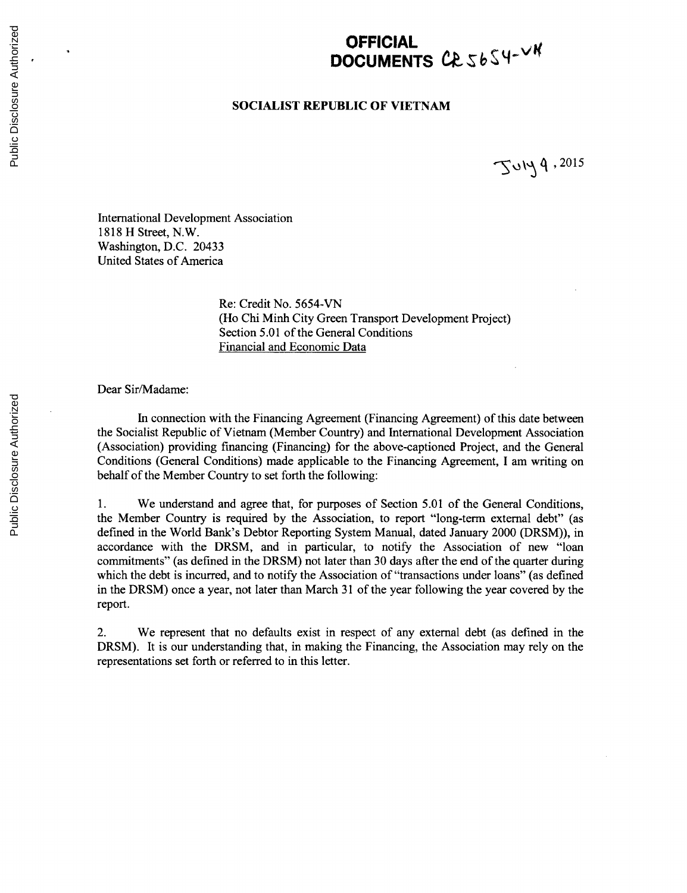## **OFFICIAL DOCUMENTS** CR 5654-VK

## **SOCIALIST REPUBLIC OF VIETNAM**

**,2015**

International Development Association **1818** H Street, N.W. Washington, **D.C.** 20433 United States of America

> Re: Credit No. *5654-VN* (Ho Chi Minh City Green Transport Development Project) Section *5.01* of the General Conditions Financial and Economic Data

## Dear Sir/Madame:

In connection with the Financing Agreement (Financing Agreement) of this date between the Socialist Republic of Vietnam (Member Country) and International Development Association (Association) providing financing (Financing) for the above-captioned Project, and the General Conditions (General Conditions) made applicable to the Financing Agreement, **I** am writing on behalf of the Member Country to set forth the following:

**1.** We understand and agree that, for purposes of Section **5.01** of the General Conditions, the Member Country is required **by** the Association, to report "long-term external debt" (as defined in the World Bank's Debtor Reporting System Manual, dated January 2000 (DRSM)), in accordance with the DRSM, and in particular, to notify the Association of new "loan commitments" (as defined in the DRSM) not later than **30** days after the end of the quarter during which the debt is incurred, and to notify the Association of "transactions under loans" (as defined in the DRSM) once a year, not later than March **31** of the year following the year covered **by** the report.

2. We represent that no defaults exist in respect of any external debt (as defined in the DRSM). It is our understanding that, in making the Financing, the Association may rely on the representations set forth or referred to in this letter.